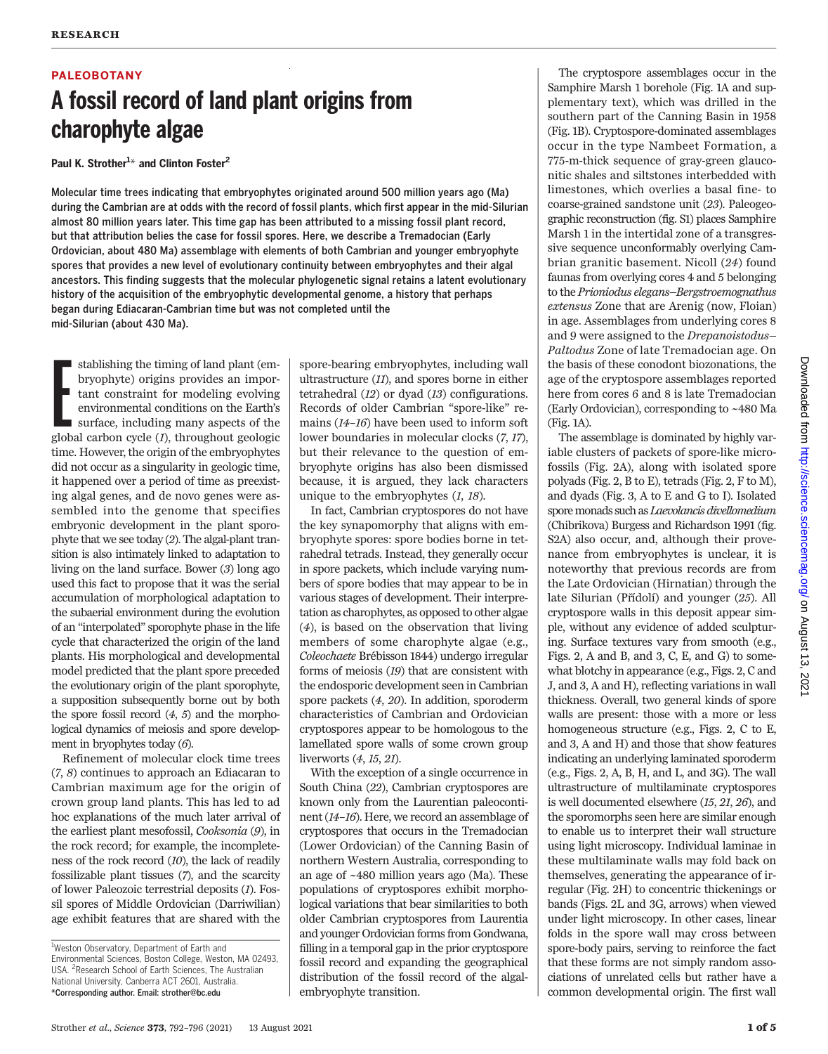# PALEOBOTANY

# A fossil record of land plant origins from charophyte algae

Paul K. Strother<sup>1\*</sup> and Clinton Foster<sup>2</sup>

Molecular time trees indicating that embryophytes originated around 500 million years ago (Ma) during the Cambrian are at odds with the record of fossil plants, which first appear in the mid-Silurian almost 80 million years later. This time gap has been attributed to a missing fossil plant record, but that attribution belies the case for fossil spores. Here, we describe a Tremadocian (Early Ordovician, about 480 Ma) assemblage with elements of both Cambrian and younger embryophyte spores that provides a new level of evolutionary continuity between embryophytes and their algal ancestors. This finding suggests that the molecular phylogenetic signal retains a latent evolutionary history of the acquisition of the embryophytic developmental genome, a history that perhaps began during Ediacaran-Cambrian time but was not completed until the mid-Silurian (about 430 Ma).

stablishing the timing of land plant (embryophyte) origins provides an important constraint for modeling evolving environmental conditions on the Earth's surface, including many aspects of the global carbon cycle (1), thro stablishing the timing of land plant (embryophyte) origins provides an important constraint for modeling evolving environmental conditions on the Earth's surface, including many aspects of the time. However, the origin of the embryophytes did not occur as a singularity in geologic time, it happened over a period of time as preexisting algal genes, and de novo genes were assembled into the genome that specifies embryonic development in the plant sporophyte that we see today (2). The algal-plant transition is also intimately linked to adaptation to living on the land surface. Bower (3) long ago used this fact to propose that it was the serial accumulation of morphological adaptation to the subaerial environment during the evolution of an "interpolated" sporophyte phase in the life cycle that characterized the origin of the land plants. His morphological and developmental model predicted that the plant spore preceded the evolutionary origin of the plant sporophyte, a supposition subsequently borne out by both the spore fossil record (4, 5) and the morphological dynamics of meiosis and spore development in bryophytes today (6).

Refinement of molecular clock time trees (7, 8) continues to approach an Ediacaran to Cambrian maximum age for the origin of crown group land plants. This has led to ad hoc explanations of the much later arrival of the earliest plant mesofossil, Cooksonia (9), in the rock record; for example, the incompleteness of the rock record (10), the lack of readily fossilizable plant tissues (7), and the scarcity of lower Paleozoic terrestrial deposits (1). Fossil spores of Middle Ordovician (Darriwilian) age exhibit features that are shared with the

spore-bearing embryophytes, including wall ultrastructure (11), and spores borne in either tetrahedral (12) or dyad (13) configurations. Records of older Cambrian "spore-like" remains (14–16) have been used to inform soft lower boundaries in molecular clocks (7, 17), but their relevance to the question of embryophyte origins has also been dismissed because, it is argued, they lack characters unique to the embryophytes  $(1, 18)$ .

In fact, Cambrian cryptospores do not have the key synapomorphy that aligns with embryophyte spores: spore bodies borne in tetrahedral tetrads. Instead, they generally occur in spore packets, which include varying numbers of spore bodies that may appear to be in various stages of development. Their interpretation as charophytes, as opposed to other algae (4), is based on the observation that living members of some charophyte algae (e.g., Coleochaete Brébisson 1844) undergo irregular forms of meiosis (19) that are consistent with the endosporic development seen in Cambrian spore packets (4, 20). In addition, sporoderm characteristics of Cambrian and Ordovician cryptospores appear to be homologous to the lamellated spore walls of some crown group liverworts (4, 15, 21).

With the exception of a single occurrence in South China (22), Cambrian cryptospores are known only from the Laurentian paleocontinent (14–16). Here, we record an assemblage of cryptospores that occurs in the Tremadocian (Lower Ordovician) of the Canning Basin of northern Western Australia, corresponding to an age of ~480 million years ago (Ma). These populations of cryptospores exhibit morphological variations that bear similarities to both older Cambrian cryptospores from Laurentia and younger Ordovician forms from Gondwana, filling in a temporal gap in the prior cryptospore fossil record and expanding the geographical distribution of the fossil record of the algalembryophyte transition.

The cryptospore assemblages occur in the Samphire Marsh 1 borehole (Fig. 1A and supplementary text), which was drilled in the southern part of the Canning Basin in 1958 (Fig. 1B). Cryptospore-dominated assemblages occur in the type Nambeet Formation, a 775-m-thick sequence of gray-green glauconitic shales and siltstones interbedded with limestones, which overlies a basal fine- to coarse-grained sandstone unit (23). Paleogeographic reconstruction (fig. S1) places Samphire Marsh 1 in the intertidal zone of a transgressive sequence unconformably overlying Cambrian granitic basement. Nicoll (24) found faunas from overlying cores 4 and 5 belonging to the Prioniodus elegans–Bergstroemognathus extensus Zone that are Arenig (now, Floian) in age. Assemblages from underlying cores 8 and 9 were assigned to the Drepanoistodus– Paltodus Zone of late Tremadocian age. On the basis of these conodont biozonations, the age of the cryptospore assemblages reported here from cores 6 and 8 is late Tremadocian (Early Ordovician), corresponding to ~480 Ma (Fig. 1A).

The assemblage is dominated by highly variable clusters of packets of spore-like microfossils (Fig. 2A), along with isolated spore polyads (Fig. 2, B to E), tetrads (Fig. 2, F to M), and dyads (Fig. 3, A to E and G to I). Isolated spore monads such as Laevolancis divellomedium (Chibrikova) Burgess and Richardson 1991 (fig. S2A) also occur, and, although their provenance from embryophytes is unclear, it is noteworthy that previous records are from the Late Ordovician (Hirnatian) through the late Silurian (Přídolí) and younger (25). All cryptospore walls in this deposit appear simple, without any evidence of added sculpturing. Surface textures vary from smooth (e.g., Figs. 2, A and B, and 3, C, E, and G) to somewhat blotchy in appearance (e.g., Figs. 2, C and J, and 3, A and H), reflecting variations in wall thickness. Overall, two general kinds of spore walls are present: those with a more or less homogeneous structure (e.g., Figs. 2, C to E, and 3, A and H) and those that show features indicating an underlying laminated sporoderm (e.g., Figs. 2, A, B, H, and L, and 3G). The wall ultrastructure of multilaminate cryptospores is well documented elsewhere (15, 21, 26), and the sporomorphs seen here are similar enough to enable us to interpret their wall structure using light microscopy. Individual laminae in these multilaminate walls may fold back on themselves, generating the appearance of irregular (Fig. 2H) to concentric thickenings or bands (Figs. 2L and 3G, arrows) when viewed under light microscopy. In other cases, linear folds in the spore wall may cross between spore-body pairs, serving to reinforce the fact that these forms are not simply random associations of unrelated cells but rather have a common developmental origin. The first wall

<sup>&</sup>lt;sup>1</sup>Weston Observatory, Department of Earth and Environmental Sciences, Boston College, Weston, MA 02493, USA. <sup>2</sup>Research School of Earth Sciences, The Australian National University, Canberra ACT 2601, Australia. \*Corresponding author. Email: strother@bc.edu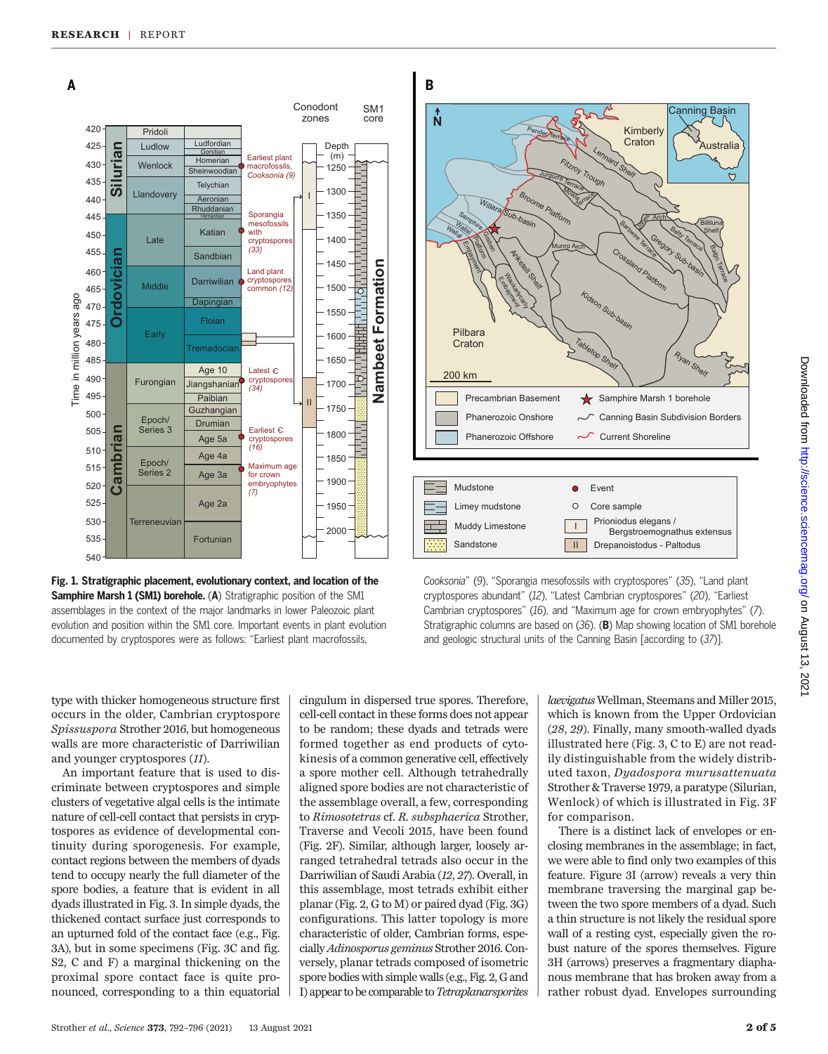

Fig. 1. Stratigraphic placement, evolutionary context, and location of the Samphire Marsh 1 (SM1) borehole. (A) Stratigraphic position of the SM1 assemblages in the context of the major landmarks in lower Paleozoic plant evolution and position within the SM1 core. Important events in plant evolution documented by cryptospores were as follows: "Earliest plant macrofossils,

Cooksonia" (9), "Sporangia mesofossils with cryptospores" (35), "Land plant cryptospores abundant" (12), "Latest Cambrian cryptospores" (20), "Earliest Cambrian cryptospores" (16), and "Maximum age for crown embryophytes" (7). Stratigraphic columns are based on (36). (B) Map showing location of SM1 borehole and geologic structural units of the Canning Basin [according to (37)].

type with thicker homogeneous structure first occurs in the older, Cambrian cryptospore Spissuspora Strother 2016, but homogeneous walls are more characteristic of Darriwilian and younger cryptospores (11).

An important feature that is used to discriminate between cryptospores and simple clusters of vegetative algal cells is the intimate nature of cell-cell contact that persists in cryptospores as evidence of developmental continuity during sporogenesis. For example, contact regions between the members of dyads tend to occupy nearly the full diameter of the spore bodies, a feature that is evident in all dyads illustrated in Fig. 3. In simple dyads, the thickened contact surface just corresponds to an upturned fold of the contact face (e.g., Fig. 3A), but in some specimens (Fig. 3C and fig. S2, C and F) a marginal thickening on the proximal spore contact face is quite pronounced, corresponding to a thin equatorial

cingulum in dispersed true spores. Therefore, cell-cell contact in these forms does not appear to be random; these dyads and tetrads were formed together as end products of cytokinesis of a common generative cell, effectively a spore mother cell. Although tetrahedrally aligned spore bodies are not characteristic of the assemblage overall, a few, corresponding to Rimosotetras cf. R. subsphaerica Strother, Traverse and Vecoli 2015, have been found (Fig. 2F). Similar, although larger, loosely arranged tetrahedral tetrads also occur in the Darriwilian of Saudi Arabia (12, 27). Overall, in this assemblage, most tetrads exhibit either planar (Fig. 2, G to M) or paired dyad (Fig. 3G) configurations. This latter topology is more characteristic of older, Cambrian forms, especially Adinosporus geminus Strother 2016. Conversely, planar tetrads composed of isometric spore bodies with simple walls (e.g., Fig. 2, G and I) appear to be comparable to Tetraplanarsporites

laevigatus Wellman, Steemans and Miller 2015, which is known from the Upper Ordovician (28, 29). Finally, many smooth-walled dyads illustrated here (Fig. 3, C to E) are not readily distinguishable from the widely distributed taxon, Dyadospora murusattenuata Strother & Traverse 1979, a paratype (Silurian, Wenlock) of which is illustrated in Fig. 3F for comparison.

There is a distinct lack of envelopes or enclosing membranes in the assemblage; in fact, we were able to find only two examples of this feature. Figure 3I (arrow) reveals a very thin membrane traversing the marginal gap between the two spore members of a dyad. Such a thin structure is not likely the residual spore wall of a resting cyst, especially given the robust nature of the spores themselves. Figure 3H (arrows) preserves a fragmentary diaphanous membrane that has broken away from a rather robust dyad. Envelopes surrounding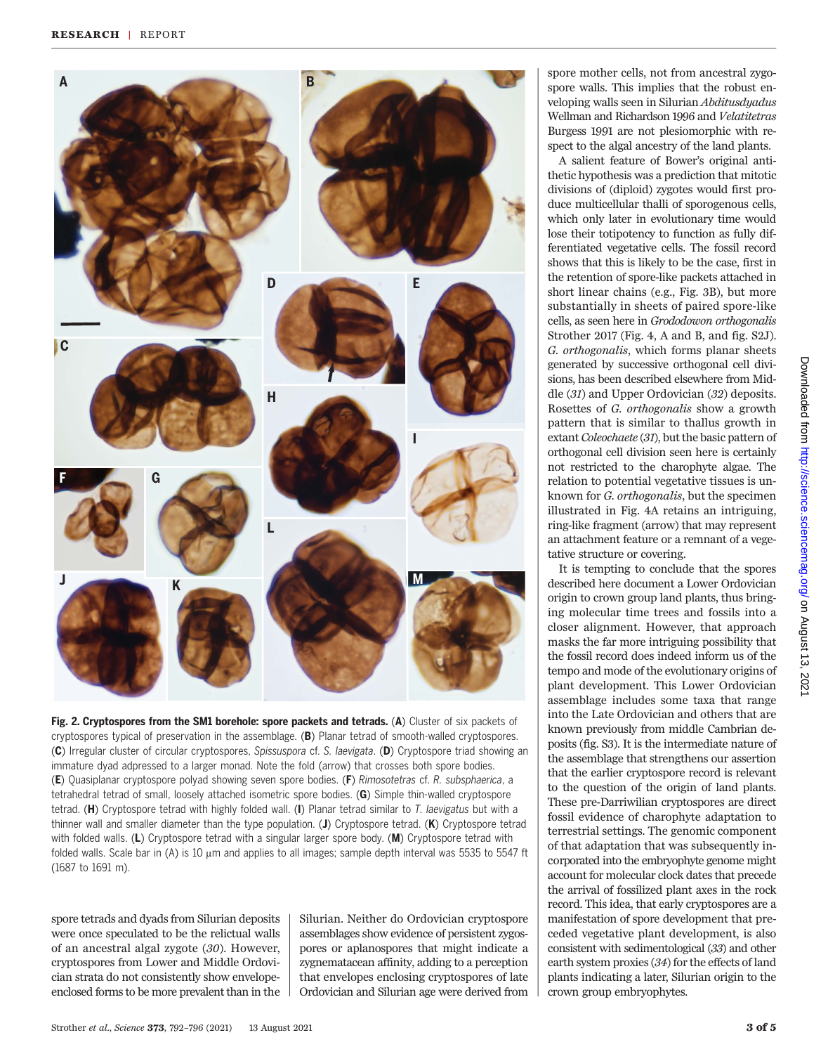

Fig. 2. Cryptospores from the SM1 borehole: spore packets and tetrads. (A) Cluster of six packets of cryptospores typical of preservation in the assemblage. (B) Planar tetrad of smooth-walled cryptospores. (C) Irregular cluster of circular cryptospores, Spissuspora cf. S. laevigata. (D) Cryptospore triad showing an immature dyad adpressed to a larger monad. Note the fold (arrow) that crosses both spore bodies. (E) Quasiplanar cryptospore polyad showing seven spore bodies. (F) Rimosotetras cf. R. subsphaerica, a tetrahedral tetrad of small, loosely attached isometric spore bodies. (G) Simple thin-walled cryptospore tetrad. (H) Cryptospore tetrad with highly folded wall. (I) Planar tetrad similar to T. laevigatus but with a thinner wall and smaller diameter than the type population. (J) Cryptospore tetrad. (K) Cryptospore tetrad with folded walls. (L) Cryptospore tetrad with a singular larger spore body. (M) Cryptospore tetrad with folded walls. Scale bar in (A) is 10  $\mu$ m and applies to all images; sample depth interval was 5535 to 5547 ft (1687 to 1691 m).

spore tetrads and dyads from Silurian deposits were once speculated to be the relictual walls of an ancestral algal zygote (30). However, cryptospores from Lower and Middle Ordovician strata do not consistently show envelopeenclosed forms to be more prevalent than in the Silurian. Neither do Ordovician cryptospore assemblages show evidence of persistent zygospores or aplanospores that might indicate a zygnematacean affinity, adding to a perception that envelopes enclosing cryptospores of late Ordovician and Silurian age were derived from spore mother cells, not from ancestral zygospore walls. This implies that the robust enveloping walls seen in Silurian Abditusdyadus Wellman and Richardson 1996 and Velatitetras Burgess 1991 are not plesiomorphic with respect to the algal ancestry of the land plants.

A salient feature of Bower's original antithetic hypothesis was a prediction that mitotic divisions of (diploid) zygotes would first produce multicellular thalli of sporogenous cells, which only later in evolutionary time would lose their totipotency to function as fully differentiated vegetative cells. The fossil record shows that this is likely to be the case, first in the retention of spore-like packets attached in short linear chains (e.g., Fig. 3B), but more substantially in sheets of paired spore-like cells, as seen here in Grododowon orthogonalis Strother 2017 (Fig. 4, A and B, and fig. S2J). G. orthogonalis, which forms planar sheets generated by successive orthogonal cell divisions, has been described elsewhere from Middle (31) and Upper Ordovician (32) deposits. Rosettes of G. orthogonalis show a growth pattern that is similar to thallus growth in extant Coleochaete (31), but the basic pattern of orthogonal cell division seen here is certainly not restricted to the charophyte algae. The relation to potential vegetative tissues is unknown for G. orthogonalis, but the specimen illustrated in Fig. 4A retains an intriguing, ring-like fragment (arrow) that may represent an attachment feature or a remnant of a vegetative structure or covering.

It is tempting to conclude that the spores described here document a Lower Ordovician origin to crown group land plants, thus bringing molecular time trees and fossils into a closer alignment. However, that approach masks the far more intriguing possibility that the fossil record does indeed inform us of the tempo and mode of the evolutionary origins of plant development. This Lower Ordovician assemblage includes some taxa that range into the Late Ordovician and others that are known previously from middle Cambrian deposits (fig. S3). It is the intermediate nature of the assemblage that strengthens our assertion that the earlier cryptospore record is relevant to the question of the origin of land plants. These pre-Darriwilian cryptospores are direct fossil evidence of charophyte adaptation to terrestrial settings. The genomic component of that adaptation that was subsequently incorporated into the embryophyte genome might account for molecular clock dates that precede the arrival of fossilized plant axes in the rock record. This idea, that early cryptospores are a manifestation of spore development that preceded vegetative plant development, is also consistent with sedimentological (33) and other earth system proxies (34) for the effects of land plants indicating a later, Silurian origin to the crown group embryophytes.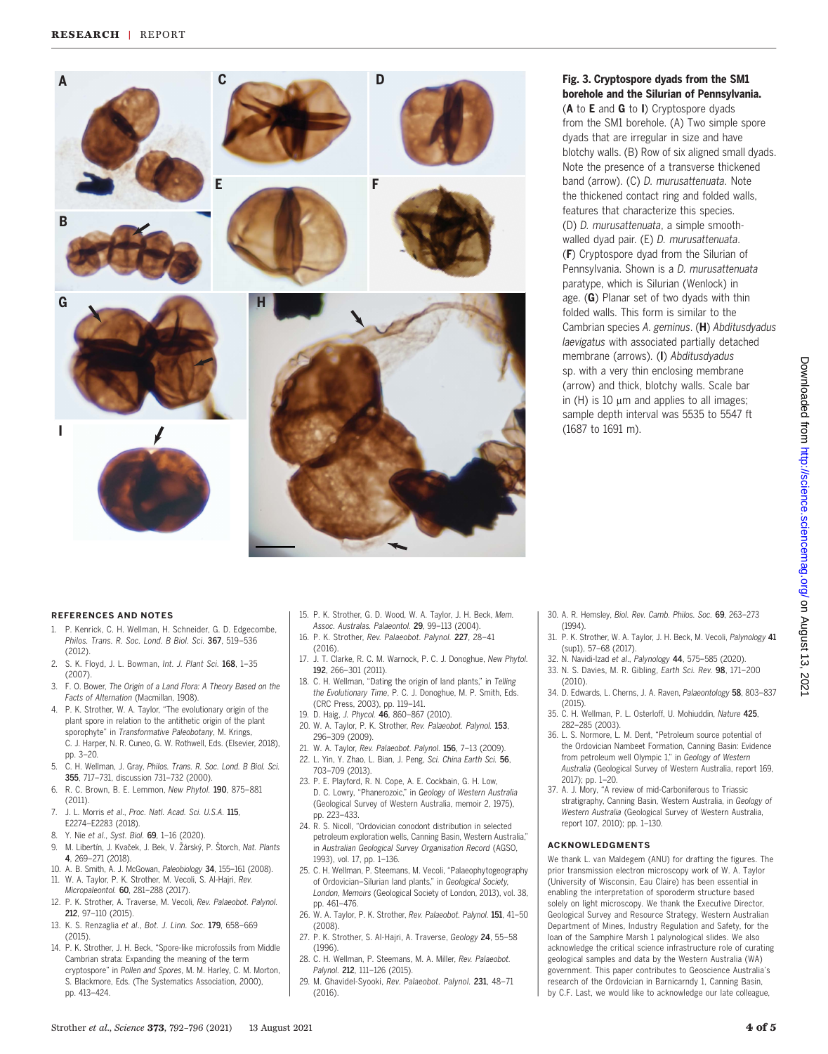

### Fig. 3. Cryptospore dyads from the SM1 borehole and the Silurian of Pennsylvania.

(A to E and G to I) Cryptospore dyads from the SM1 borehole. (A) Two simple spore dyads that are irregular in size and have blotchy walls. (B) Row of six aligned small dyads. Note the presence of a transverse thickened band (arrow). (C) D. murusattenuata. Note the thickened contact ring and folded walls, features that characterize this species. (D) D. murusattenuata, a simple smoothwalled dyad pair. (E) D. murusattenuata. (F) Cryptospore dyad from the Silurian of Pennsylvania. Shown is a D. murusattenuata paratype, which is Silurian (Wenlock) in age. (G) Planar set of two dyads with thin folded walls. This form is similar to the Cambrian species A. geminus. (H) Abditusdyadus laevigatus with associated partially detached membrane (arrows). (I) Abditusdyadus sp. with a very thin enclosing membrane (arrow) and thick, blotchy walls. Scale bar in  $(H)$  is 10  $\mu$ m and applies to all images; sample depth interval was 5535 to 5547 ft (1687 to 1691 m).

#### REFERENCES AND NOTES

- 1. P. Kenrick, C. H. Wellman, H. Schneider, G. D. Edgecombe, Philos. Trans. R. Soc. Lond. B Biol. Sci. 367, 519-536 (2012).
- 2. S. K. Floyd, J. L. Bowman, Int. J. Plant Sci. 168, 1–35 (2007).
- 3. F. O. Bower, The Origin of a Land Flora: A Theory Based on the Facts of Alternation (Macmillan, 1908).
- 4. P. K. Strother, W. A. Taylor, "The evolutionary origin of the plant spore in relation to the antithetic origin of the plant .<br>sporophyte" in Transformative Paleobotany, M. Krings, C. J. Harper, N. R. Cuneo, G. W. Rothwell, Eds. (Elsevier, 2018), pp. 3–20.
- 5. C. H. Wellman, J. Gray, Philos. Trans. R. Soc. Lond. B Biol. Sci. 355, 717–731, discussion 731–732 (2000).
- 6. R. C. Brown, B. E. Lemmon, New Phytol. 190, 875–881 (2011).
- 7. J. L. Morris et al., Proc. Natl. Acad. Sci. U.S.A. 115, E2274–E2283 (2018).
- 8. Y. Nie et al., Syst. Biol. 69, 1–16 (2020).
- 9. M. Libertín, J. Kvaček, J. Bek, V. Žárský, P. Štorch, Nat. Plants 4, 269–271 (2018).
- 10. A. B. Smith, A. J. McGowan, Paleobiology 34, 155–161 (2008). 11. W. A. Taylor, P. K. Strother, M. Vecoli, S. Al-Hajri, Rev. Micropaleontol. 60, 281–288 (2017).
- 12. P. K. Strother, A. Traverse, M. Vecoli, Rev. Palaeobot. Palynol. 212, 97–110 (2015).
- 13. K. S. Renzaglia et al., Bot. J. Linn. Soc. 179, 658-669  $(2015)$
- 14. P. K. Strother, J. H. Beck, "Spore-like microfossils from Middle Cambrian strata: Expanding the meaning of the term cryptospore" in Pollen and Spores, M. M. Harley, C. M. Morton, S. Blackmore, Eds. (The Systematics Association, 2000), pp. 413–424.
- 15. P. K. Strother, G. D. Wood, W. A. Taylor, J. H. Beck, Mem. Assoc. Australas. Palaeontol. 29, 99–113 (2004).
- 16. P. K. Strother, Rev. Palaeobot. Palynol. 227, 28–41 (2016).
- 17. J. T. Clarke, R. C. M. Warnock, P. C. J. Donoghue, New Phytol. 192, 266–301 (2011).
- 18. C. H. Wellman, "Dating the origin of land plants," in Telling the Evolutionary Time, P. C. J. Donoghue, M. P. Smith, Eds. (CRC Press, 2003), pp. 119–141.
- 19. D. Haig, J. Phycol. 46, 860–867 (2010).
- 20. W. A. Taylor, P. K. Strother, Rev. Palaeobot. Palynol. 153, 296–309 (2009).
- 21. W. A. Taylor, Rev. Palaeobot. Palynol. 156, 7–13 (2009).
- 22. L. Yin, Y. Zhao, L. Bian, J. Peng, Sci. China Earth Sci. 56, 703–709 (2013).
- 23. P. E. Playford, R. N. Cope, A. E. Cockbain, G. H. Low, D. C. Lowry, "Phanerozoic," in Geology of Western Australia (Geological Survey of Western Australia, memoir 2, 1975), pp. 223–433.
- 24. R. S. Nicoll, "Ordovician conodont distribution in selected petroleum exploration wells, Canning Basin, Western Australia," in Australian Geological Survey Organisation Record (AGSO, 1993), vol. 17, pp. 1–136.
- 25. C. H. Wellman, P. Steemans, M. Vecoli, "Palaeophytogeography of Ordovician–Silurian land plants," in Geological Society, London, Memoirs (Geological Society of London, 2013), vol. 38, pp. 461–476.
- 26. W. A. Taylor, P. K. Strother, Rev. Palaeobot. Palynol. 151, 41–50 (2008).
- 27. P. K. Strother, S. Al-Hajri, A. Traverse, Geology 24, 55–58 (1996).
- 28. C. H. Wellman, P. Steemans, M. A. Miller, Rev. Palaeobot. Palynol. 212, 111-126 (2015).
- 29. M. Ghavidel-Syooki, Rev. Palaeobot. Palynol. 231, 48–71 (2016).
- 30. A. R. Hemsley, Biol. Rev. Camb. Philos. Soc. 69, 263–273 (1994).
- 31. P. K. Strother, W. A. Taylor, J. H. Beck, M. Vecoli, Palynology 41 (sup1), 57–68 (2017).
- 32. N. Navidi-Izad et al., Palynology 44, 575-585 (2020).
- 33. N. S. Davies, M. R. Gibling, Earth Sci. Rev. 98, 171–200 (2010).
- 34. D. Edwards, L. Cherns, J. A. Raven, Palaeontology 58, 803–837 (2015).
- 35. C. H. Wellman, P. L. Osterloff, U. Mohiuddin, Nature 425, 282–285 (2003).
- 36. L. S. Normore, L. M. Dent, "Petroleum source potential of the Ordovician Nambeet Formation, Canning Basin: Evidence from petroleum well Olympic 1," in Geology of Western Australia (Geological Survey of Western Australia, report 169, 2017); pp. 1–20.
- 37. A. J. Mory, "A review of mid-Carboniferous to Triassic stratigraphy, Canning Basin, Western Australia, in Geology of Western Australia (Geological Survey of Western Australia, report 107, 2010); pp. 1–130.

#### ACKNOWLEDGMENTS

We thank L. van Maldegem (ANU) for drafting the figures. The prior transmission electron microscopy work of W. A. Taylor (University of Wisconsin, Eau Claire) has been essential in enabling the interpretation of sporoderm structure based solely on light microscopy. We thank the Executive Director, Geological Survey and Resource Strategy, Western Australian Department of Mines, Industry Regulation and Safety, for the loan of the Samphire Marsh 1 palynological slides. We also acknowledge the critical science infrastructure role of curating geological samples and data by the Western Australia (WA) government. This paper contributes to Geoscience Australia's research of the Ordovician in Barnicarndy 1, Canning Basin, by C.F. Last, we would like to acknowledge our late colleague,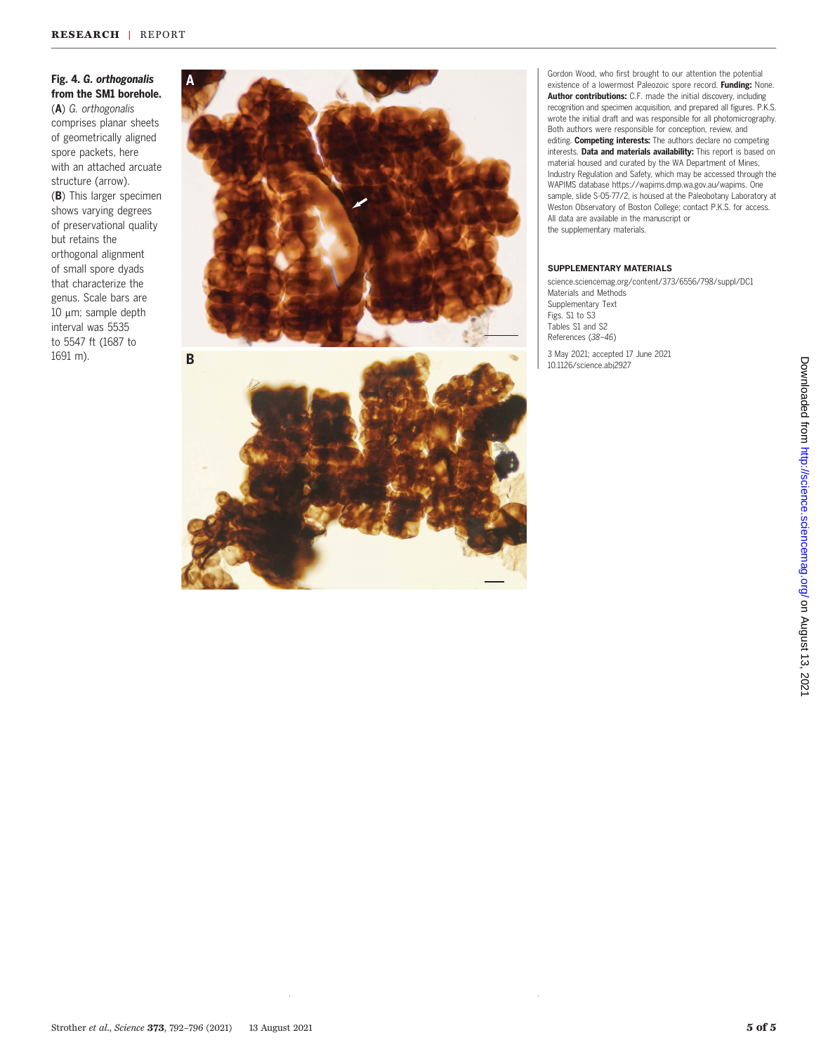# Fig. 4. G. orthogonalis from the SM1 borehole.

(A) G. orthogonalis comprises planar sheets of geometrically aligned spore packets, here with an attached arcuate structure (arrow). (B) This larger specimen shows varying degrees of preservational quality but retains the orthogonal alignment of small spore dyads that characterize the genus. Scale bars are  $10 \mu m$ ; sample depth interval was 5535 to 5547 ft (1687 to 1691 m).







Gordon Wood, who first brought to our attention the potential existence of a lowermost Paleozoic spore record. Funding: None. Author contributions: C.F. made the initial discovery, including recognition and specimen acquisition, and prepared all figures. P.K.S. wrote the initial draft and was responsible for all photomicrography. Both authors were responsible for conception, review, and editing. Competing interests: The authors declare no competing interests. Data and materials availability: This report is based on material housed and curated by the WA Department of Mines, Industry Regulation and Safety, which may be accessed through the WAPIMS database [https://wapims.dmp.wa.gov.au/wapims.](https://wapims.dmp.wa.gov.au/wapims) One sample, slide S-05-77/2, is housed at the Paleobotany Laboratory at Weston Observatory of Boston College; contact P.K.S. for access. All data are available in the manuscript or the supplementary materials.

#### SUPPLEMENTARY MATERIALS

[science.sciencemag.org/content/373/6556/798/suppl/DC1](https://science.sciencemag.org/content/373/6556/798/suppl/DC1) Materials and Methods Supplementary Text Figs. S1 to S3 Tables S1 and S2 References (38–46)

3 May 2021; accepted 17 June 2021 10.1126/science.abj2927